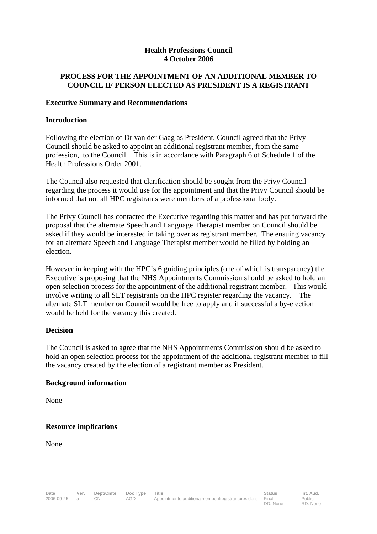## **Health Professions Council 4 October 2006**

## **PROCESS FOR THE APPOINTMENT OF AN ADDITIONAL MEMBER TO COUNCIL IF PERSON ELECTED AS PRESIDENT IS A REGISTRANT**

#### **Executive Summary and Recommendations**

#### **Introduction**

Following the election of Dr van der Gaag as President, Council agreed that the Privy Council should be asked to appoint an additional registrant member, from the same profession, to the Council. This is in accordance with Paragraph 6 of Schedule 1 of the Health Professions Order 2001.

The Council also requested that clarification should be sought from the Privy Council regarding the process it would use for the appointment and that the Privy Council should be informed that not all HPC registrants were members of a professional body.

The Privy Council has contacted the Executive regarding this matter and has put forward the proposal that the alternate Speech and Language Therapist member on Council should be asked if they would be interested in taking over as registrant member. The ensuing vacancy for an alternate Speech and Language Therapist member would be filled by holding an election.

However in keeping with the HPC's 6 guiding principles (one of which is transparency) the Executive is proposing that the NHS Appointments Commission should be asked to hold an open selection process for the appointment of the additional registrant member. This would involve writing to all SLT registrants on the HPC register regarding the vacancy. The alternate SLT member on Council would be free to apply and if successful a by-election would be held for the vacancy this created.

#### **Decision**

The Council is asked to agree that the NHS Appointments Commission should be asked to hold an open selection process for the appointment of the additional registrant member to fill the vacancy created by the election of a registrant member as President.

#### **Background information**

None

## **Resource implications**

None